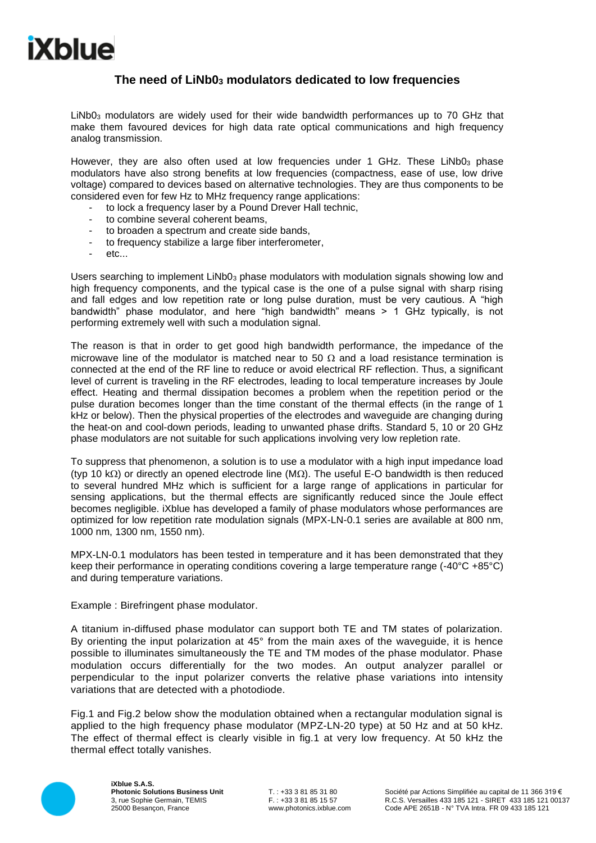## **The need of LiNb0<sup>3</sup> modulators dedicated to low frequencies**

LiNb0<sup>3</sup> modulators are widely used for their wide bandwidth performances up to 70 GHz that make them favoured devices for high data rate optical communications and high frequency analog transmission.

However, they are also often used at low frequencies under 1 GHz. These LiNb03 phase modulators have also strong benefits at low frequencies (compactness, ease of use, low drive voltage) compared to devices based on alternative technologies. They are thus components to be considered even for few Hz to MHz frequency range applications:

- to lock a frequency laser by a Pound Drever Hall technic.
- to combine several coherent beams.
- to broaden a spectrum and create side bands,
- to frequency stabilize a large fiber interferometer.
- etc...

Users searching to implement LiNb0<sub>3</sub> phase modulators with modulation signals showing low and high frequency components, and the typical case is the one of a pulse signal with sharp rising and fall edges and low repetition rate or long pulse duration, must be very cautious. A "high bandwidth" phase modulator, and here "high bandwidth" means > 1 GHz typically, is not performing extremely well with such a modulation signal.

The reason is that in order to get good high bandwidth performance, the impedance of the microwave line of the modulator is matched near to 50  $\Omega$  and a load resistance termination is connected at the end of the RF line to reduce or avoid electrical RF reflection. Thus, a significant level of current is traveling in the RF electrodes, leading to local temperature increases by Joule effect. Heating and thermal dissipation becomes a problem when the repetition period or the pulse duration becomes longer than the time constant of the thermal effects (in the range of 1 kHz or below). Then the physical properties of the electrodes and waveguide are changing during the heat-on and cool-down periods, leading to unwanted phase drifts. Standard 5, 10 or 20 GHz phase modulators are not suitable for such applications involving very low repletion rate.

To suppress that phenomenon, a solution is to use a modulator with a high input impedance load (typ 10 k $\Omega$ ) or directly an opened electrode line (M $\Omega$ ). The useful E-O bandwidth is then reduced to several hundred MHz which is sufficient for a large range of applications in particular for sensing applications, but the thermal effects are significantly reduced since the Joule effect becomes negligible. iXblue has developed a family of phase modulators whose performances are optimized for low repetition rate modulation signals (MPX-LN-0.1 series are available at 800 nm, 1000 nm, 1300 nm, 1550 nm).

MPX-LN-0.1 modulators has been tested in temperature and it has been demonstrated that they keep their performance in operating conditions covering a large temperature range (-40°C +85°C) and during temperature variations.

Example : Birefringent phase modulator.

A titanium in-diffused phase modulator can support both TE and TM states of polarization. By orienting the input polarization at 45° from the main axes of the waveguide, it is hence possible to illuminates simultaneously the TE and TM modes of the phase modulator. Phase modulation occurs differentially for the two modes. An output analyzer parallel or perpendicular to the input polarizer converts the relative phase variations into intensity variations that are detected with a photodiode.

Fig.1 and Fig.2 below show the modulation obtained when a rectangular modulation signal is applied to the high frequency phase modulator (MPZ-LN-20 type) at 50 Hz and at 50 kHz. The effect of thermal effect is clearly visible in fig.1 at very low frequency. At 50 kHz the thermal effect totally vanishes.



**iXblue S.A.S. Photonic Solutions Business Unit** 3, rue Sophie Germain, TEMIS 25000 Besançon, France